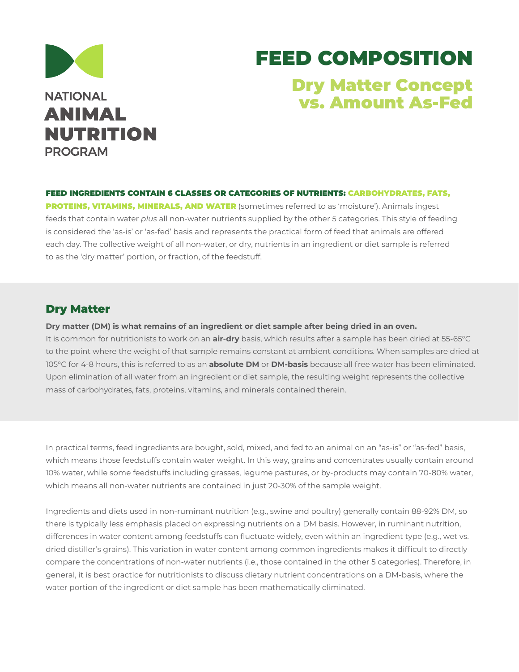

# FEED COMPOSITION Dry Matter Concept

vs. Amount As-Fed

FEED INGREDIENTS CONTAIN 6 CLASSES OR CATEGORIES OF NUTRIENTS: CARBOHYDRATES, FATS, PROTEINS, VITAMINS, MINERALS, AND WATER (sometimes referred to as 'moisture'). Animals ingest feeds that contain water *plus* all non-water nutrients supplied by the other 5 categories. This style of feeding is considered the 'as-is' or 'as-fed' basis and represents the practical form of feed that animals are offered each day. The collective weight of all non-water, or dry, nutrients in an ingredient or diet sample is referred to as the 'dry matter' portion, or fraction, of the feedstuff.

#### Dry Matter

**Dry matter (DM) is what remains of an ingredient or diet sample after being dried in an oven.** 

It is common for nutritionists to work on an **air-dry** basis, which results after a sample has been dried at 55-65°C to the point where the weight of that sample remains constant at ambient conditions. When samples are dried at 105°C for 4-8 hours, this is referred to as an **absolute DM** or **DM-basis** because all free water has been eliminated. Upon elimination of all water from an ingredient or diet sample, the resulting weight represents the collective mass of carbohydrates, fats, proteins, vitamins, and minerals contained therein.

In practical terms, feed ingredients are bought, sold, mixed, and fed to an animal on an "as-is" or "as-fed" basis, which means those feedstuffs contain water weight. In this way, grains and concentrates usually contain around 10% water, while some feedstuffs including grasses, legume pastures, or by-products may contain 70-80% water, which means all non-water nutrients are contained in just 20-30% of the sample weight.

Ingredients and diets used in non-ruminant nutrition (e.g., swine and poultry) generally contain 88-92% DM, so there is typically less emphasis placed on expressing nutrients on a DM basis. However, in ruminant nutrition, differences in water content among feedstuffs can fluctuate widely, even within an ingredient type (e.g., wet vs. dried distiller's grains). This variation in water content among common ingredients makes it difficult to directly compare the concentrations of non-water nutrients (i.e., those contained in the other 5 categories). Therefore, in general, it is best practice for nutritionists to discuss dietary nutrient concentrations on a DM-basis, where the water portion of the ingredient or diet sample has been mathematically eliminated.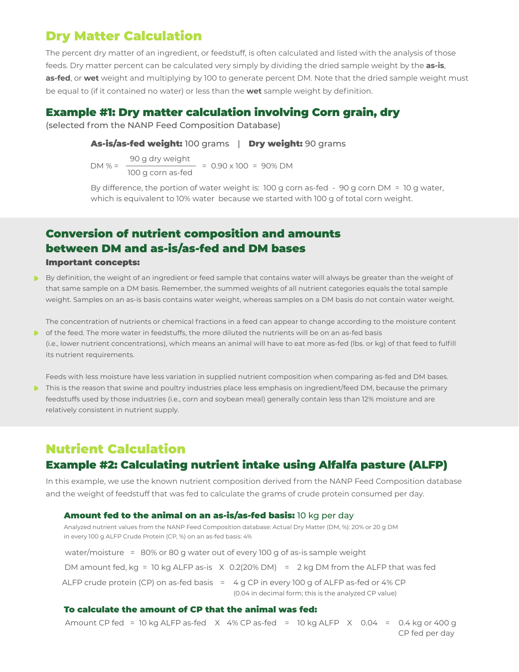## Dry Matter Calculation

The percent dry matter of an ingredient, or feedstuff, is often calculated and listed with the analysis of those feeds. Dry matter percent can be calculated very simply by dividing the dried sample weight by the **as-is**, **as-fed**, or **wet** weight and multiplying by 100 to generate percent DM. Note that the dried sample weight must be equal to (if it contained no water) or less than the **wet** sample weight by definition.

### Example #1: Dry matter calculation involving Corn grain, dry

(selected from the NANP Feed Composition Database)

As-is/as-fed weight: 100 grams | Dry weight: 90 grams

DM % =  $\frac{90 \text{ g dry weight}}{1.1}$  = 0.90 x 100 = 90% DM 100 g corn as-fed

By difference, the portion of water weight is: 100 g corn as-fed - 90 g corn DM = 10 g water, which is equivalent to 10% water because we started with 100 g of total corn weight.

### Conversion of nutrient composition and amounts between DM and as-is/as-fed and DM bases

#### Important concepts:

By definition, the weight of an ingredient or feed sample that contains water will always be greater than the weight of that same sample on a DM basis. Remember, the summed weights of all nutrient categories equals the total sample weight. Samples on an as-is basis contains water weight, whereas samples on a DM basis do not contain water weight.

The concentration of nutrients or chemical fractions in a feed can appear to change according to the moisture content

**•** of the feed. The more water in feedstuffs, the more diluted the nutrients will be on an as-fed basis (i.e., lower nutrient concentrations), which means an animal will have to eat more as-fed (lbs. or kg) of that feed to fulfill its nutrient requirements.

Feeds with less moisture have less variation in supplied nutrient composition when comparing as-fed and DM bases.

This is the reason that swine and poultry industries place less emphasis on ingredient/feed DM, because the primary feedstuffs used by those industries (i.e., corn and soybean meal) generally contain less than 12% moisture and are relatively consistent in nutrient supply.

# Nutrient Calculation

### Example #2: Calculating nutrient intake using Alfalfa pasture (ALFP)

In this example, we use the known nutrient composition derived from the NANP Feed Composition database and the weight of feedstuff that was fed to calculate the grams of crude protein consumed per day.

#### Amount fed to the animal on an as-is/as-fed basis: 10 kg per day

Analyzed nutrient values from the NANP Feed Composition database: Actual Dry Matter (DM, %): 20% or 20 g DM in every 100 g ALFP Crude Protein (CP, %) on an as-fed basis: 4%

water/moisture = 80% or 80 g water out of every 100 g of as-is sample weight DM amount fed, kg = 10 kg ALFP as-is  $\ X \ 0.2(20\%$  DM) = 2 kg DM from the ALFP that was fed ALFP crude protein (CP) on as-fed basis  $\;$  =  $\;$  4 g CP in every 100 g of ALFP as-fed or 4% CP (0.04 in decimal form; this is the analyzed CP value)

#### To calculate the amount of CP that the animal was fed:

Amount CP fed  $\,$  = 10 kg ALFP as-fed  $\,$  X  $\,$  4% CP as-fed  $\,$  =  $\,$  10 kg ALFP  $\,$  X  $\,$  0.04  $\,$  =  $\,$  0.4 kg or 400 g CP fed per day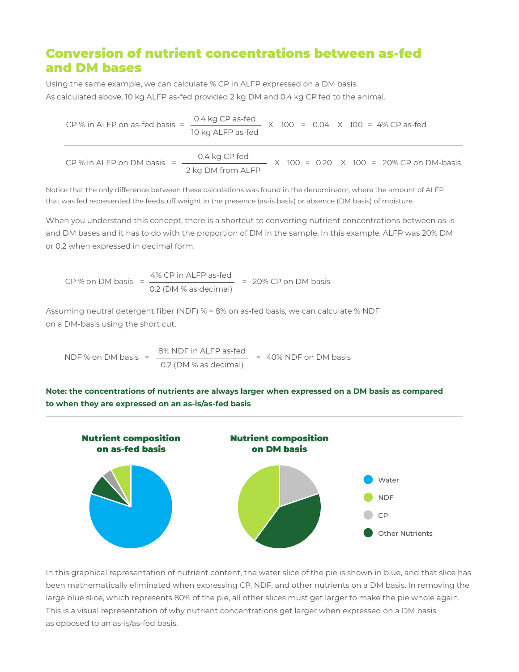# Conversion of nutrient concentrations between as-fed and DM bases

Using the same example, we can calculate % CP in ALFP expressed on a DM basis. As calculated above, 10 kg ALFP as-fed provided 2 kg DM and 0.4 kg CP fed to the animal.

CP % in ALFP on as-fed basis =  $\frac{0.4 \text{ kg CP as-fed}}{4.4 \text{ kg CP as-fed}}$  X 100 = 0.04 X 100 = 4% CP as-fed 10 kg ALFP as-fed CP % in ALFP on DM basis =  $\frac{0.4 \text{ kg CP fed}}{4.4 \text{ kg CP feed}}$  x 100 = 0.20 x 100 = 20% CP on DM-basis 2 kg DM from ALFP

Notice that the only difference between these calculations was found in the denominator, where the amount of ALFP that was fed represented the feedstuff weight in the presence (as-is basis) or absence (DM basis) of moisture.

When you understand this concept, there is a shortcut to converting nutrient concentrations between as-is and DM bases and it has to do with the proportion of DM in the sample. In this example, ALFP was 20% DM or 0.2 when expressed in decimal form.

CP % on DM basis =  $\frac{4\%}{\sqrt{2}}$  CP in ALFP as-fed = 20% CP on DM basis 0.2 (DM % as decimal)

Assuming neutral detergent fiber (NDF) % = 8% on as-fed basis, we can calculate % NDF on a DM-basis using the short cut.

NDF % on DM basis =  $\frac{8\% \text{ NDF in ALFP as-fed}}{40\% \text{ NDF on DM basis}}$  = 40% NDF on DM basis 0.2 (DM % as decimal)

**Note: the concentrations of nutrients are always larger when expressed on a DM basis as compared to when they are expressed on an as-is/as-fed basis**



In this graphical representation of nutrient content, the water slice of the pie is shown in blue, and that slice has been mathematically eliminated when expressing CP, NDF, and other nutrients on a DM basis. In removing the large blue slice, which represents 80% of the pie, all other slices must get larger to make the pie whole again. This is a visual representation of why nutrient concentrations get larger when expressed on a DM basis as opposed to an as-is/as-fed basis.